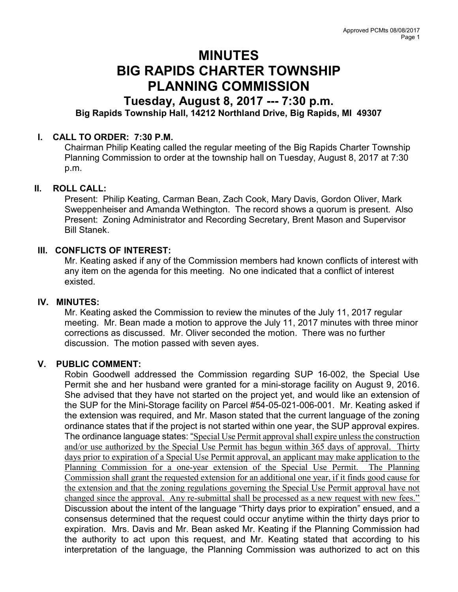# MINUTES BIG RAPIDS CHARTER TOWNSHIP PLANNING COMMISSION

## Tuesday, August 8, 2017 --- 7:30 p.m. Big Rapids Township Hall, 14212 Northland Drive, Big Rapids, MI 49307

## I. CALL TO ORDER: 7:30 P.M.

Chairman Philip Keating called the regular meeting of the Big Rapids Charter Township Planning Commission to order at the township hall on Tuesday, August 8, 2017 at 7:30 p.m.

## II. ROLL CALL:

Present: Philip Keating, Carman Bean, Zach Cook, Mary Davis, Gordon Oliver, Mark Sweppenheiser and Amanda Wethington. The record shows a quorum is present. Also Present: Zoning Administrator and Recording Secretary, Brent Mason and Supervisor Bill Stanek.

## III. CONFLICTS OF INTEREST:

Mr. Keating asked if any of the Commission members had known conflicts of interest with any item on the agenda for this meeting. No one indicated that a conflict of interest existed.

#### IV. MINUTES:

Mr. Keating asked the Commission to review the minutes of the July 11, 2017 regular meeting. Mr. Bean made a motion to approve the July 11, 2017 minutes with three minor corrections as discussed. Mr. Oliver seconded the motion. There was no further discussion. The motion passed with seven ayes.

## V. PUBLIC COMMENT:

Robin Goodwell addressed the Commission regarding SUP 16-002, the Special Use Permit she and her husband were granted for a mini-storage facility on August 9, 2016. She advised that they have not started on the project yet, and would like an extension of the SUP for the Mini-Storage facility on Parcel #54-05-021-006-001. Mr. Keating asked if the extension was required, and Mr. Mason stated that the current language of the zoning ordinance states that if the project is not started within one year, the SUP approval expires. The ordinance language states: "Special Use Permit approval shall expire unless the construction and/or use authorized by the Special Use Permit has begun within 365 days of approval. Thirty days prior to expiration of a Special Use Permit approval, an applicant may make application to the Planning Commission for a one-year extension of the Special Use Permit. The Planning Commission shall grant the requested extension for an additional one year, if it finds good cause for the extension and that the zoning regulations governing the Special Use Permit approval have not changed since the approval. Any re-submittal shall be processed as a new request with new fees." Discussion about the intent of the language "Thirty days prior to expiration" ensued, and a consensus determined that the request could occur anytime within the thirty days prior to expiration. Mrs. Davis and Mr. Bean asked Mr. Keating if the Planning Commission had the authority to act upon this request, and Mr. Keating stated that according to his interpretation of the language, the Planning Commission was authorized to act on this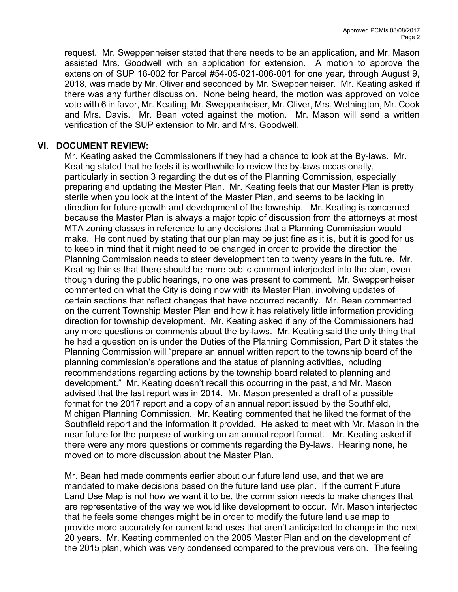request. Mr. Sweppenheiser stated that there needs to be an application, and Mr. Mason assisted Mrs. Goodwell with an application for extension. A motion to approve the extension of SUP 16-002 for Parcel #54-05-021-006-001 for one year, through August 9, 2018, was made by Mr. Oliver and seconded by Mr. Sweppenheiser. Mr. Keating asked if there was any further discussion. None being heard, the motion was approved on voice vote with 6 in favor, Mr. Keating, Mr. Sweppenheiser, Mr. Oliver, Mrs. Wethington, Mr. Cook and Mrs. Davis. Mr. Bean voted against the motion. Mr. Mason will send a written verification of the SUP extension to Mr. and Mrs. Goodwell.

## VI. DOCUMENT REVIEW:

Mr. Keating asked the Commissioners if they had a chance to look at the By-laws. Mr. Keating stated that he feels it is worthwhile to review the by-laws occasionally, particularly in section 3 regarding the duties of the Planning Commission, especially preparing and updating the Master Plan. Mr. Keating feels that our Master Plan is pretty sterile when you look at the intent of the Master Plan, and seems to be lacking in direction for future growth and development of the township. Mr. Keating is concerned because the Master Plan is always a major topic of discussion from the attorneys at most MTA zoning classes in reference to any decisions that a Planning Commission would make. He continued by stating that our plan may be just fine as it is, but it is good for us to keep in mind that it might need to be changed in order to provide the direction the Planning Commission needs to steer development ten to twenty years in the future. Mr. Keating thinks that there should be more public comment interjected into the plan, even though during the public hearings, no one was present to comment. Mr. Sweppenheiser commented on what the City is doing now with its Master Plan, involving updates of certain sections that reflect changes that have occurred recently. Mr. Bean commented on the current Township Master Plan and how it has relatively little information providing direction for township development. Mr. Keating asked if any of the Commissioners had any more questions or comments about the by-laws. Mr. Keating said the only thing that he had a question on is under the Duties of the Planning Commission, Part D it states the Planning Commission will "prepare an annual written report to the township board of the planning commission's operations and the status of planning activities, including recommendations regarding actions by the township board related to planning and development." Mr. Keating doesn't recall this occurring in the past, and Mr. Mason advised that the last report was in 2014. Mr. Mason presented a draft of a possible format for the 2017 report and a copy of an annual report issued by the Southfield, Michigan Planning Commission. Mr. Keating commented that he liked the format of the Southfield report and the information it provided. He asked to meet with Mr. Mason in the near future for the purpose of working on an annual report format. Mr. Keating asked if there were any more questions or comments regarding the By-laws. Hearing none, he moved on to more discussion about the Master Plan.

Mr. Bean had made comments earlier about our future land use, and that we are mandated to make decisions based on the future land use plan. If the current Future Land Use Map is not how we want it to be, the commission needs to make changes that are representative of the way we would like development to occur. Mr. Mason interjected that he feels some changes might be in order to modify the future land use map to provide more accurately for current land uses that aren't anticipated to change in the next 20 years. Mr. Keating commented on the 2005 Master Plan and on the development of the 2015 plan, which was very condensed compared to the previous version. The feeling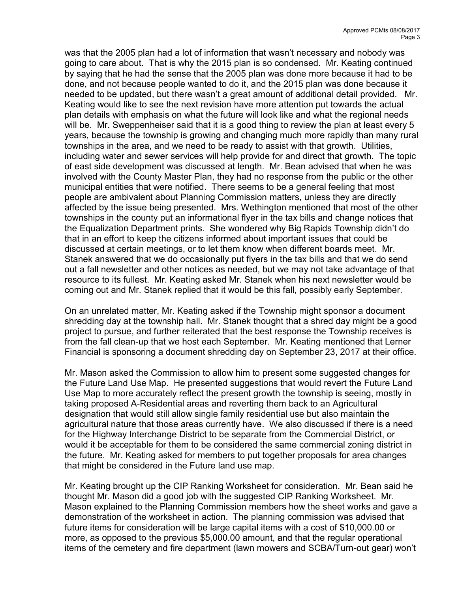was that the 2005 plan had a lot of information that wasn't necessary and nobody was going to care about. That is why the 2015 plan is so condensed. Mr. Keating continued by saying that he had the sense that the 2005 plan was done more because it had to be done, and not because people wanted to do it, and the 2015 plan was done because it needed to be updated, but there wasn't a great amount of additional detail provided. Mr. Keating would like to see the next revision have more attention put towards the actual plan details with emphasis on what the future will look like and what the regional needs will be. Mr. Sweppenheiser said that it is a good thing to review the plan at least every 5 years, because the township is growing and changing much more rapidly than many rural townships in the area, and we need to be ready to assist with that growth. Utilities, including water and sewer services will help provide for and direct that growth. The topic of east side development was discussed at length. Mr. Bean advised that when he was involved with the County Master Plan, they had no response from the public or the other municipal entities that were notified. There seems to be a general feeling that most people are ambivalent about Planning Commission matters, unless they are directly affected by the issue being presented. Mrs. Wethington mentioned that most of the other townships in the county put an informational flyer in the tax bills and change notices that the Equalization Department prints. She wondered why Big Rapids Township didn't do that in an effort to keep the citizens informed about important issues that could be discussed at certain meetings, or to let them know when different boards meet. Mr. Stanek answered that we do occasionally put flyers in the tax bills and that we do send out a fall newsletter and other notices as needed, but we may not take advantage of that resource to its fullest. Mr. Keating asked Mr. Stanek when his next newsletter would be coming out and Mr. Stanek replied that it would be this fall, possibly early September.

On an unrelated matter, Mr. Keating asked if the Township might sponsor a document shredding day at the township hall. Mr. Stanek thought that a shred day might be a good project to pursue, and further reiterated that the best response the Township receives is from the fall clean-up that we host each September. Mr. Keating mentioned that Lerner Financial is sponsoring a document shredding day on September 23, 2017 at their office.

Mr. Mason asked the Commission to allow him to present some suggested changes for the Future Land Use Map. He presented suggestions that would revert the Future Land Use Map to more accurately reflect the present growth the township is seeing, mostly in taking proposed A-Residential areas and reverting them back to an Agricultural designation that would still allow single family residential use but also maintain the agricultural nature that those areas currently have. We also discussed if there is a need for the Highway Interchange District to be separate from the Commercial District, or would it be acceptable for them to be considered the same commercial zoning district in the future. Mr. Keating asked for members to put together proposals for area changes that might be considered in the Future land use map.

Mr. Keating brought up the CIP Ranking Worksheet for consideration. Mr. Bean said he thought Mr. Mason did a good job with the suggested CIP Ranking Worksheet. Mr. Mason explained to the Planning Commission members how the sheet works and gave a demonstration of the worksheet in action. The planning commission was advised that future items for consideration will be large capital items with a cost of \$10,000.00 or more, as opposed to the previous \$5,000.00 amount, and that the regular operational items of the cemetery and fire department (lawn mowers and SCBA/Turn-out gear) won't